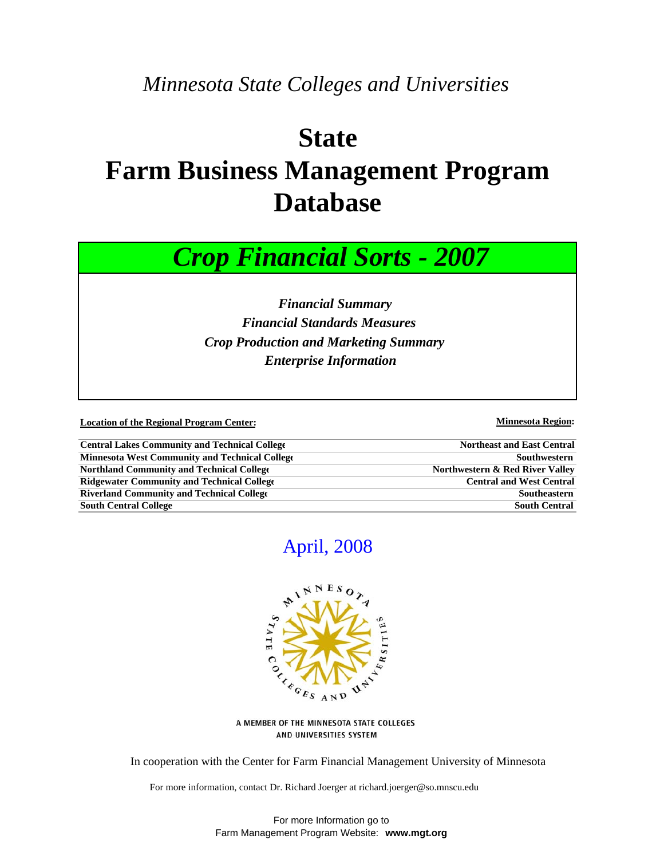## *Minnesota State Colleges and Universities*

# **State Farm Business Management Program Database**



 *Financial Summary Financial Standards Measures Crop Production and Marketing Summary Enterprise Information*

**Location of the Regional Program Center:** Minnesota Region: Minnesota Region:

| <b>Central Lakes Community and Technical College</b> | <b>Northeast and East Central</b> |
|------------------------------------------------------|-----------------------------------|
| Minnesota West Community and Technical College       | Southwestern                      |
| <b>Northland Community and Technical College</b>     | Northwestern & Red River Valley   |
| <b>Ridgewater Community and Technical College</b>    | <b>Central and West Central</b>   |
| <b>Riverland Community and Technical College</b>     | Southeastern                      |
| <b>South Central College</b>                         | <b>South Central</b>              |

## April, 2008



A MEMBER OF THE MINNESOTA STATE COLLEGES AND UNIVERSITIES SYSTEM

In cooperation with the Center for Farm Financial Management University of Minnesota

For more information, contact Dr. Richard Joerger at richard.joerger@so.mnscu.edu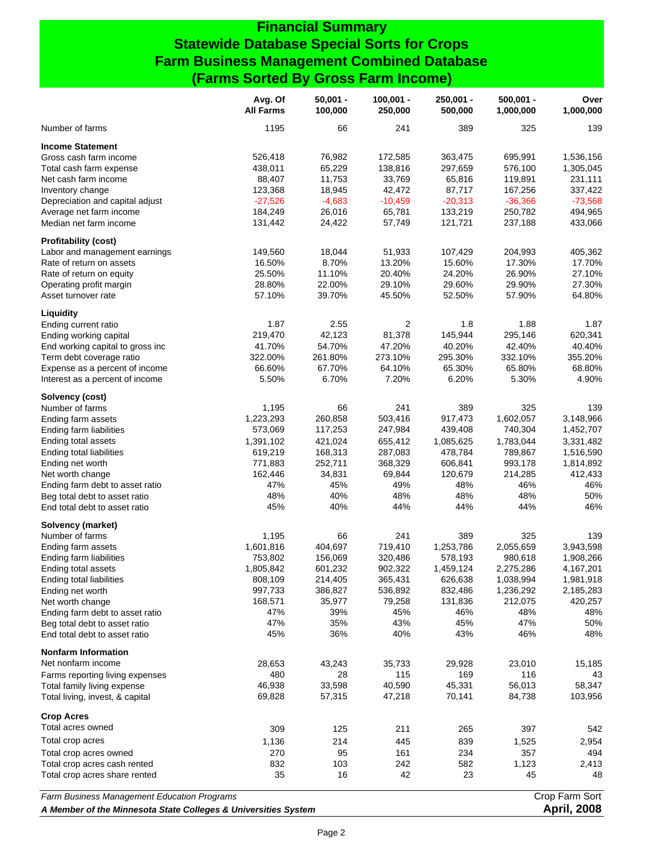#### **Financial Summary Statewide Database Special Sorts for Crops Farm Business Management Combined Database (Farms Sorted By Gross Farm Income)**

|                                             | Avg. Of<br><b>All Farms</b> | $50,001 -$<br>100,000 | $100,001 -$<br>250,000 | $250,001 -$<br>500,000 | $500,001 -$<br>1,000,000 | Over<br>1,000,000 |
|---------------------------------------------|-----------------------------|-----------------------|------------------------|------------------------|--------------------------|-------------------|
| Number of farms                             | 1195                        | 66                    | 241                    | 389                    | 325                      | 139               |
| <b>Income Statement</b>                     |                             |                       |                        |                        |                          |                   |
| Gross cash farm income                      | 526,418                     | 76,982                | 172,585                | 363,475                | 695,991                  | 1,536,156         |
| Total cash farm expense                     | 438,011                     | 65,229                | 138,816                | 297,659                | 576,100                  | 1,305,045         |
| Net cash farm income                        | 88,407                      | 11,753                | 33,769                 | 65,816                 | 119,891                  | 231,111           |
| Inventory change                            | 123,368                     | 18,945                | 42,472                 | 87,717                 | 167,256                  | 337,422           |
| Depreciation and capital adjust             | $-27,526$                   | $-4,683$              | $-10,459$              | $-20,313$              | $-36,366$                | $-73,568$         |
| Average net farm income                     | 184,249                     | 26,016                | 65,781                 | 133,219                | 250,782                  | 494,965           |
| Median net farm income                      | 131,442                     | 24,422                | 57,749                 | 121,721                | 237,188                  | 433,066           |
| <b>Profitability (cost)</b>                 |                             |                       |                        |                        |                          |                   |
| Labor and management earnings               | 149,560                     | 18,044                | 51,933                 | 107,429                | 204,993                  | 405,362           |
| Rate of return on assets                    | 16.50%                      | 8.70%                 | 13.20%                 | 15.60%                 | 17.30%                   | 17.70%            |
| Rate of return on equity                    | 25.50%                      | 11.10%                | 20.40%                 | 24.20%                 | 26.90%                   | 27.10%            |
| Operating profit margin                     | 28.80%                      | 22.00%                | 29.10%                 | 29.60%                 | 29.90%                   | 27.30%            |
| Asset turnover rate                         | 57.10%                      | 39.70%                | 45.50%                 | 52.50%                 | 57.90%                   | 64.80%            |
| Liquidity                                   |                             |                       |                        |                        |                          |                   |
| Ending current ratio                        | 1.87                        | 2.55                  | $\overline{c}$         | 1.8                    | 1.88                     | 1.87              |
| Ending working capital                      | 219,470                     | 42,123                | 81,378                 | 145,944                | 295,146                  | 620,341           |
| End working capital to gross inc            | 41.70%                      | 54.70%                | 47.20%                 | 40.20%                 | 42.40%                   | 40.40%            |
| Term debt coverage ratio                    | 322.00%                     | 261.80%               | 273.10%                | 295.30%                | 332.10%                  | 355.20%           |
| Expense as a percent of income              | 66.60%                      | 67.70%                | 64.10%                 | 65.30%                 | 65.80%                   | 68.80%            |
| Interest as a percent of income             | 5.50%                       | 6.70%                 | 7.20%                  | 6.20%                  | 5.30%                    | 4.90%             |
| Solvency (cost)                             |                             |                       |                        |                        |                          |                   |
| Number of farms                             | 1,195                       | 66                    | 241                    | 389                    | 325                      | 139               |
| Ending farm assets                          | 1,223,293                   | 260,858               | 503,416                | 917,473                | 1,602,057                | 3,148,966         |
| Ending farm liabilities                     | 573,069                     | 117,253               | 247,984                | 439,408                | 740,304                  | 1,452,707         |
| Ending total assets                         | 1,391,102                   | 421,024               | 655,412                | 1,085,625              | 1,783,044                | 3,331,482         |
| Ending total liabilities                    | 619,219                     | 168,313               | 287,083                | 478,784                | 789,867                  | 1,516,590         |
| Ending net worth                            | 771,883                     | 252,711               | 368,329                | 606,841                | 993,178                  | 1,814,892         |
| Net worth change                            | 162,446                     | 34,831                | 69,844                 | 120,679                | 214,285                  | 412,433           |
| Ending farm debt to asset ratio             | 47%                         | 45%                   | 49%                    | 48%                    | 46%                      | 46%               |
| Beg total debt to asset ratio               | 48%                         | 40%                   | 48%                    | 48%                    | 48%                      | 50%               |
| End total debt to asset ratio               | 45%                         | 40%                   | 44%                    | 44%                    | 44%                      | 46%               |
| Solvency (market)                           |                             |                       |                        |                        |                          |                   |
| Number of farms                             | 1,195                       | 66                    | 241                    | 389                    | 325                      | 139               |
| Ending farm assets                          | 1,601,816                   | 404,697               | 719,410                | 1,253,786              | 2,055,659                | 3,943,598         |
| Ending farm liabilities                     | 753,802                     | 156,069               | 320,486                | 578,193                | 980,618                  | 1,908,266         |
| Ending total assets                         | 1,805,842                   | 601,232               | 902,322                | 1,459,124              | 2,275,286                | 4,167,201         |
| Ending total liabilities                    | 808,109                     | 214,405               | 365,431                | 626,638                | 1,038,994                | 1,981,918         |
| Ending net worth                            | 997,733                     | 386,827               | 536,892                | 832,486                | 1,236,292                | 2,185,283         |
| Net worth change                            | 168,571                     | 35,977                | 79,258                 | 131,836                | 212,075                  | 420,257           |
| Ending farm debt to asset ratio             | 47%                         | 39%                   | 45%                    | 46%                    | 48%                      | 48%               |
| Beg total debt to asset ratio               | 47%                         | 35%                   | 43%                    | 45%                    | 47%                      | 50%               |
| End total debt to asset ratio               | 45%                         | 36%                   | 40%                    | 43%                    | 46%                      | 48%               |
| <b>Nonfarm Information</b>                  |                             |                       |                        |                        |                          |                   |
| Net nonfarm income                          | 28,653                      | 43,243                | 35,733                 | 29,928                 | 23,010                   | 15,185            |
| Farms reporting living expenses             | 480                         | 28                    | 115                    | 169                    | 116                      | 43                |
| Total family living expense                 | 46,938                      | 33,598                | 40,590                 | 45,331                 | 56,013                   | 58,347            |
| Total living, invest, & capital             | 69,828                      | 57,315                | 47,218                 | 70,141                 | 84,738                   | 103,956           |
|                                             |                             |                       |                        |                        |                          |                   |
| <b>Crop Acres</b><br>Total acres owned      | 309                         | 125                   | 211                    | 265                    | 397                      | 542               |
| Total crop acres                            |                             |                       |                        |                        |                          |                   |
|                                             | 1,136                       | 214                   | 445                    | 839                    | 1,525                    | 2,954             |
| Total crop acres owned                      | 270                         | 95                    | 161                    | 234                    | 357                      | 494               |
| Total crop acres cash rented                | 832                         | 103                   | 242                    | 582                    | 1,123                    | 2,413             |
| Total crop acres share rented               | 35                          | 16                    | 42                     | 23                     | 45                       | 48                |
| Farm Business Management Education Programs |                             |                       |                        |                        |                          | Crop Farm Sort    |

*A Member of the Minnesota State Colleges & Universities System* **April, 2008**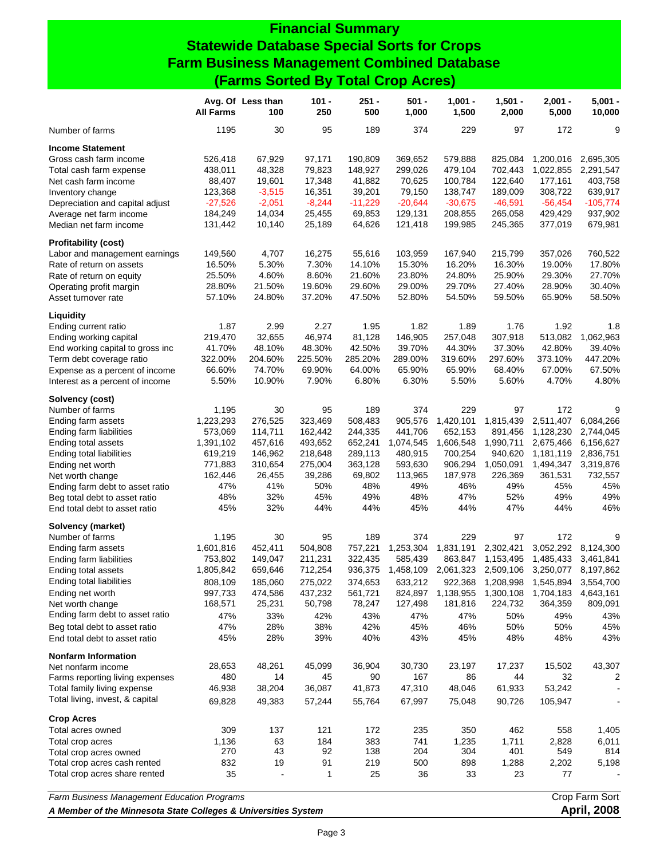### **Financial Summary Statewide Database Special Sorts for Crops Farm Business Management Combined Database (Farms Sorted By Total Crop Acres)**

|                                                                | <b>All Farms</b> | Avg. Of Less than<br>100 | $101 -$<br>250 | $251 -$<br>500 | $501 -$<br>1,000 | $1,001 -$<br>1,500 | $1,501 -$<br>2,000                      | $2,001 -$<br>5,000 | $5,001 -$<br>10,000 |
|----------------------------------------------------------------|------------------|--------------------------|----------------|----------------|------------------|--------------------|-----------------------------------------|--------------------|---------------------|
| Number of farms                                                | 1195             | 30                       | 95             | 189            | 374              | 229                | 97                                      | 172                | 9                   |
| <b>Income Statement</b>                                        |                  |                          |                |                |                  |                    |                                         |                    |                     |
| Gross cash farm income                                         | 526,418          | 67,929                   | 97,171         | 190,809        | 369,652          | 579,888            | 825,084                                 | 1,200,016          | 2,695,305           |
| Total cash farm expense                                        | 438,011          | 48,328                   | 79,823         | 148,927        | 299,026          | 479,104            | 702,443                                 | 1,022,855          | 2,291,547           |
| Net cash farm income                                           | 88,407           | 19,601                   | 17,348         | 41,882         | 70,625           | 100,784            | 122,640                                 | 177,161            | 403,758             |
| Inventory change                                               | 123,368          | $-3,515$                 | 16,351         | 39,201         | 79,150           | 138,747            | 189,009                                 | 308,722            | 639,917             |
| Depreciation and capital adjust                                | $-27,526$        | $-2,051$                 | $-8,244$       | $-11,229$      | $-20,644$        | $-30,675$          | $-46,591$                               | $-56,454$          | $-105,774$          |
| Average net farm income                                        | 184,249          | 14,034                   | 25,455         | 69,853         | 129,131          | 208,855            | 265,058                                 | 429,429            | 937,902             |
| Median net farm income                                         | 131,442          | 10,140                   | 25,189         | 64,626         | 121,418          | 199,985            | 245,365                                 | 377,019            | 679,981             |
| <b>Profitability (cost)</b>                                    |                  |                          |                |                |                  |                    |                                         |                    |                     |
| Labor and management earnings                                  | 149,560          | 4,707                    | 16,275         | 55,616         | 103,959          | 167,940            | 215,799                                 | 357,026            | 760,522             |
| Rate of return on assets                                       | 16.50%           | 5.30%                    | 7.30%          | 14.10%         | 15.30%           | 16.20%             | 16.30%                                  | 19.00%             | 17.80%              |
| Rate of return on equity                                       | 25.50%           | 4.60%                    | 8.60%          | 21.60%         | 23.80%           | 24.80%             | 25.90%                                  | 29.30%             | 27.70%              |
| Operating profit margin                                        | 28.80%           | 21.50%                   | 19.60%         | 29.60%         | 29.00%           | 29.70%             | 27.40%                                  | 28.90%             | 30.40%              |
| Asset turnover rate                                            | 57.10%           | 24.80%                   | 37.20%         | 47.50%         | 52.80%           | 54.50%             | 59.50%                                  | 65.90%             | 58.50%              |
| Liquidity                                                      |                  |                          |                |                |                  |                    |                                         |                    |                     |
| Ending current ratio                                           | 1.87             | 2.99                     | 2.27           | 1.95           | 1.82             | 1.89               | 1.76                                    | 1.92               | 1.8                 |
| Ending working capital                                         | 219,470          | 32,655                   | 46,974         | 81,128         | 146,905          | 257,048            | 307,918                                 | 513,082            | 1,062,963           |
| End working capital to gross inc                               | 41.70%           | 48.10%                   | 48.30%         | 42.50%         | 39.70%           | 44.30%             | 37.30%                                  | 42.80%             | 39.40%              |
| Term debt coverage ratio                                       | 322.00%          | 204.60%                  | 225.50%        | 285.20%        | 289.00%          | 319.60%            | 297.60%                                 | 373.10%            | 447.20%             |
|                                                                | 66.60%           | 74.70%                   | 69.90%         | 64.00%         | 65.90%           | 65.90%             | 68.40%                                  | 67.00%             | 67.50%              |
| Expense as a percent of income                                 |                  | 10.90%                   |                | 6.80%          | 6.30%            | 5.50%              |                                         | 4.70%              | 4.80%               |
| Interest as a percent of income                                | 5.50%            |                          | 7.90%          |                |                  |                    | 5.60%                                   |                    |                     |
| Solvency (cost)                                                |                  |                          |                |                |                  |                    |                                         |                    |                     |
| Number of farms                                                | 1,195            | 30                       | 95             | 189            | 374              | 229                | 97                                      | 172                | 9                   |
| Ending farm assets                                             | 1,223,293        | 276,525                  | 323,469        | 508,483        | 905,576          | 1,420,101          | 1,815,439                               | 2,511,407          | 6,084,266           |
| Ending farm liabilities                                        | 573,069          | 114,711                  | 162,442        | 244,335        | 441,706          | 652,153            | 891,456                                 | 1,128,230          | 2,744,045           |
| Ending total assets                                            | 1,391,102        | 457,616                  | 493,652        | 652,241        | 1,074,545        | 1,606,548          | 1,990,711                               | 2,675,466          | 6,156,627           |
| Ending total liabilities                                       | 619,219          | 146,962                  | 218,648        | 289,113        | 480,915          | 700,254            | 940,620                                 | 1,181,119          | 2,836,751           |
| Ending net worth                                               | 771,883          | 310,654                  | 275,004        | 363,128        | 593,630          | 906,294            | 1,050,091                               | 1,494,347          | 3,319,876           |
| Net worth change                                               | 162,446          | 26,455                   | 39,286         | 69,802         | 113,965          | 187,978            | 226,369                                 | 361,531            | 732,557             |
| Ending farm debt to asset ratio                                | 47%              | 41%                      | 50%            | 48%            | 49%              | 46%                | 49%                                     | 45%                | 45%                 |
| Beg total debt to asset ratio                                  | 48%              | 32%                      | 45%            | 49%            | 48%              | 47%                | 52%                                     | 49%                | 49%                 |
| End total debt to asset ratio                                  | 45%              | 32%                      | 44%            | 44%            | 45%              | 44%                | 47%                                     | 44%                | 46%                 |
| Solvency (market)                                              |                  |                          |                |                |                  |                    |                                         |                    |                     |
| Number of farms                                                | 1,195            | 30                       | 95             | 189            | 374              | 229                | 97                                      | 172                | 9                   |
| Ending farm assets                                             | 1,601,816        | 452,411                  | 504,808        | 757,221        | 1,253,304        | 1,831,191          | 2,302,421                               | 3,052,292          | 8,124,300           |
| Ending farm liabilities                                        | 753,802          | 149,047                  | 211,231        | 322,435        | 585,439          | 863,847            | 1,153,495                               | 1,485,433          | 3,461,841           |
| Ending total assets                                            | 1,805,842        | 659,646                  | 712,254        | 936,375        | 1,458,109        |                    | 2,061,323 2,509,106 3,250,077 8,197,862 |                    |                     |
| Ending total liabilities                                       | 808,109          | 185,060                  | 275,022        | 374,653        | 633,212          |                    | 922,368 1,208,998 1,545,894 3,554,700   |                    |                     |
| Ending net worth                                               | 997,733          | 474,586                  | 437,232        | 561,721        | 824,897          | 1,138,955          | 1,300,108                               | 1,704,183          | 4,643,161           |
| Net worth change                                               | 168,571          | 25,231                   | 50,798         | 78,247         | 127,498          | 181,816            | 224,732                                 | 364,359            | 809,091             |
| Ending farm debt to asset ratio                                | 47%              | 33%                      | 42%            | 43%            | 47%              | 47%                | 50%                                     | 49%                | 43%                 |
|                                                                | 47%              |                          | 38%            | 42%            | 45%              | 46%                | 50%                                     | 50%                | 45%                 |
| Beg total debt to asset ratio<br>End total debt to asset ratio | 45%              | 28%<br>28%               | 39%            | 40%            | 43%              | 45%                | 48%                                     | 48%                | 43%                 |
| <b>Nonfarm Information</b>                                     |                  |                          |                |                |                  |                    |                                         |                    |                     |
|                                                                | 28,653           | 48,261                   | 45,099         | 36,904         | 30,730           | 23,197             | 17,237                                  | 15,502             | 43,307              |
| Net nonfarm income<br>Farms reporting living expenses          | 480              | 14                       | 45             | 90             | 167              | 86                 | 44                                      | 32                 | 2                   |
| Total family living expense                                    |                  |                          |                |                |                  |                    | 61,933                                  |                    |                     |
|                                                                | 46,938           | 38,204                   | 36,087         | 41,873         | 47,310           | 48,046             |                                         | 53,242             |                     |
| Total living, invest, & capital                                | 69,828           | 49,383                   | 57,244         | 55,764         | 67,997           | 75,048             | 90,726                                  | 105,947            |                     |
| <b>Crop Acres</b>                                              |                  |                          |                |                |                  |                    |                                         |                    |                     |
| Total acres owned                                              | 309              | 137                      | 121            | 172            | 235              | 350                | 462                                     | 558                | 1,405               |
| Total crop acres                                               | 1,136            | 63                       | 184            | 383            | 741              | 1,235              | 1,711                                   | 2,828              | 6,011               |
| Total crop acres owned                                         | 270              | 43                       | 92             | 138            | 204              | 304                | 401                                     | 549                | 814                 |
| Total crop acres cash rented                                   | 832              | 19                       | 91             | 219            | 500              | 898                | 1,288                                   | 2,202              | 5,198               |
| Total crop acres share rented                                  | 35               |                          | 1              | 25             | 36               | 33                 | 23                                      | 77                 |                     |
| Farm Business Management Education Programs                    |                  |                          |                |                |                  |                    |                                         |                    | Crop Farm Sort      |
|                                                                |                  |                          |                |                |                  |                    |                                         |                    |                     |

*A Member of the Minnesota State Colleges & Universities System* **April, 2008**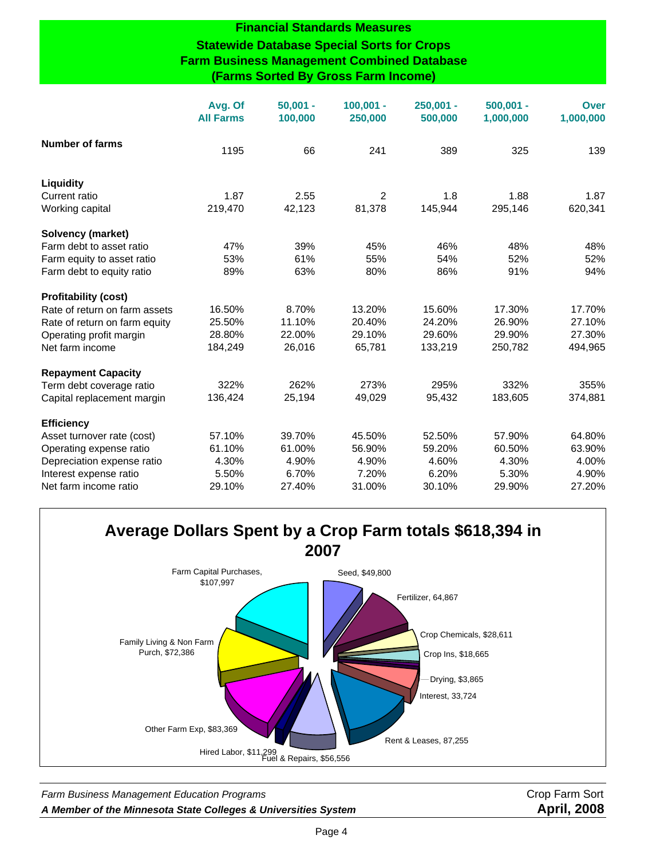#### **Financial Standards Measures Statewide Database Special Sorts for Crops Farm Business Management Combined Database (Farms Sorted By Gross Farm Income)**

|                               | Avg. Of<br><b>All Farms</b> | $50,001 -$<br>100,000 | $100,001 -$<br>250,000 | $250,001 -$<br>500,000 | $500.001 -$<br>1,000,000 | <b>Over</b><br>1,000,000 |
|-------------------------------|-----------------------------|-----------------------|------------------------|------------------------|--------------------------|--------------------------|
| <b>Number of farms</b>        | 1195                        | 66                    | 241                    | 389                    | 325                      | 139                      |
| Liquidity                     |                             |                       |                        |                        |                          |                          |
| Current ratio                 | 1.87                        | 2.55                  | 2                      | 1.8                    | 1.88                     | 1.87                     |
| Working capital               | 219,470                     | 42,123                | 81,378                 | 145,944                | 295,146                  | 620,341                  |
| Solvency (market)             |                             |                       |                        |                        |                          |                          |
| Farm debt to asset ratio      | 47%                         | 39%                   | 45%                    | 46%                    | 48%                      | 48%                      |
| Farm equity to asset ratio    | 53%                         | 61%                   | 55%                    | 54%                    | 52%                      | 52%                      |
| Farm debt to equity ratio     | 89%                         | 63%                   | 80%                    | 86%                    | 91%                      | 94%                      |
| <b>Profitability (cost)</b>   |                             |                       |                        |                        |                          |                          |
| Rate of return on farm assets | 16.50%                      | 8.70%                 | 13.20%                 | 15.60%                 | 17.30%                   | 17.70%                   |
| Rate of return on farm equity | 25.50%                      | 11.10%                | 20.40%                 | 24.20%                 | 26.90%                   | 27.10%                   |
| Operating profit margin       | 28.80%                      | 22.00%                | 29.10%                 | 29.60%                 | 29.90%                   | 27.30%                   |
| Net farm income               | 184,249                     | 26,016                | 65,781                 | 133,219                | 250,782                  | 494,965                  |
| <b>Repayment Capacity</b>     |                             |                       |                        |                        |                          |                          |
| Term debt coverage ratio      | 322%                        | 262%                  | 273%                   | 295%                   | 332%                     | 355%                     |
| Capital replacement margin    | 136,424                     | 25,194                | 49,029                 | 95,432                 | 183,605                  | 374,881                  |
| <b>Efficiency</b>             |                             |                       |                        |                        |                          |                          |
| Asset turnover rate (cost)    | 57.10%                      | 39.70%                | 45.50%                 | 52.50%                 | 57.90%                   | 64.80%                   |
| Operating expense ratio       | 61.10%                      | 61.00%                | 56.90%                 | 59.20%                 | 60.50%                   | 63.90%                   |
| Depreciation expense ratio    | 4.30%                       | 4.90%                 | 4.90%                  | 4.60%                  | 4.30%                    | 4.00%                    |
| Interest expense ratio        | 5.50%                       | 6.70%                 | 7.20%                  | 6.20%                  | 5.30%                    | 4.90%                    |
| Net farm income ratio         | 29.10%                      | 27.40%                | 31.00%                 | 30.10%                 | 29.90%                   | 27.20%                   |

#### **Average Dollars Spent by a Crop Farm totals \$618,394 in 2007** Seed, \$49,800 Fertilizer, 64,867 Crop Chemicals, \$28,611 Crop Ins, \$18,665 Interest, 33,724 Rent & Leases, 87,255 Fuel & Repairs, \$56,556 Hired Labor, \$11,299 Other Farm Exp, \$83,369 Family Living & Non Farm Purch, \$72,386 Farm Capital Purchases, \$107,997 Drying, \$3,865

Farm Business Management Education Programs **Crop Farm Sort** Crop Farm Sort *A Member of the Minnesota State Colleges & Universities System* **April, 2008**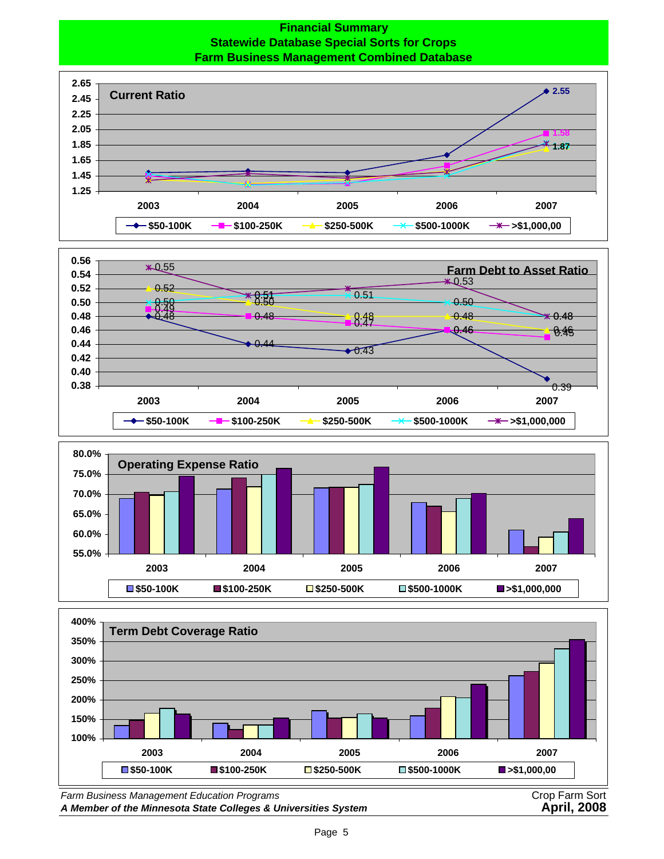#### **Financial Summary Statewide Database Special Sorts for Crops Farm Business Management Combined Database**









*Farm Business Management Education Programs* Crop Farm Sort A Member of the Minnesota State Colleges & Universities System **April, 2008**